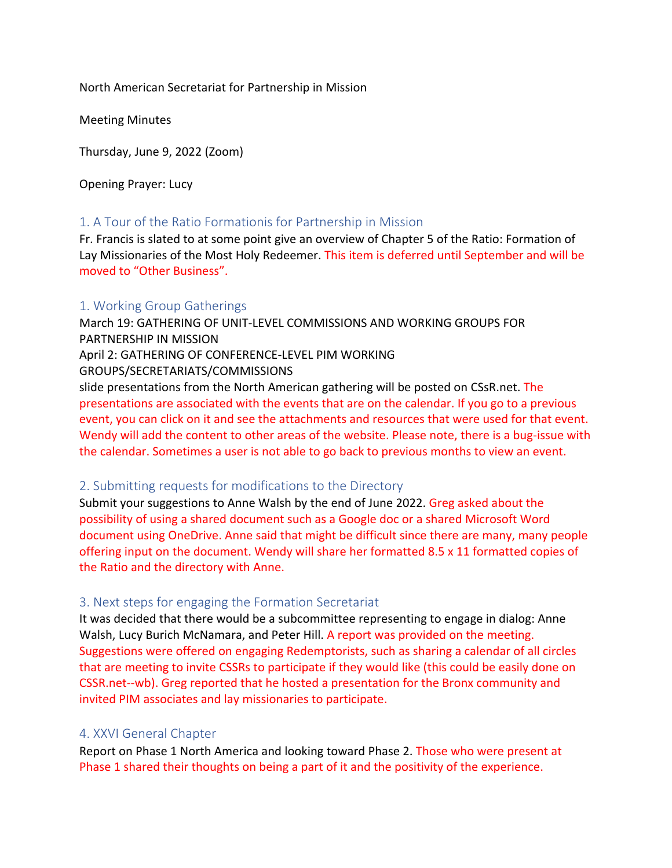North American Secretariat for Partnership in Mission

Meeting Minutes

Thursday, June 9, 2022 (Zoom)

Opening Prayer: Lucy

# 1. A Tour of the Ratio Formationis for Partnership in Mission

Fr. Francis is slated to at some point give an overview of Chapter 5 of the Ratio: Formation of Lay Missionaries of the Most Holy Redeemer. This item is deferred until September and will be moved to "Other Business".

# 1. Working Group Gatherings

March 19: GATHERING OF UNIT-LEVEL COMMISSIONS AND WORKING GROUPS FOR PARTNERSHIP IN MISSION April 2: GATHERING OF CONFERENCE-LEVEL PIM WORKING GROUPS/SECRETARIATS/COMMISSIONS slide presentations from the North American gathering will be posted on CSsR.net. The presentations are associated with the events that are on the calendar. If you go to a previous event, you can click on it and see the attachments and resources that were used for that event. Wendy will add the content to other areas of the website. Please note, there is a bug-issue with the calendar. Sometimes a user is not able to go back to previous months to view an event.

# 2. Submitting requests for modifications to the Directory

Submit your suggestions to Anne Walsh by the end of June 2022. Greg asked about the possibility of using a shared document such as a Google doc or a shared Microsoft Word document using OneDrive. Anne said that might be difficult since there are many, many people offering input on the document. Wendy will share her formatted 8.5 x 11 formatted copies of the Ratio and the directory with Anne.

# 3. Next steps for engaging the Formation Secretariat

It was decided that there would be a subcommittee representing to engage in dialog: Anne Walsh, Lucy Burich McNamara, and Peter Hill. A report was provided on the meeting. Suggestions were offered on engaging Redemptorists, such as sharing a calendar of all circles that are meeting to invite CSSRs to participate if they would like (this could be easily done on CSSR.net--wb). Greg reported that he hosted a presentation for the Bronx community and invited PIM associates and lay missionaries to participate.

# 4. XXVI General Chapter

Report on Phase 1 North America and looking toward Phase 2. Those who were present at Phase 1 shared their thoughts on being a part of it and the positivity of the experience.